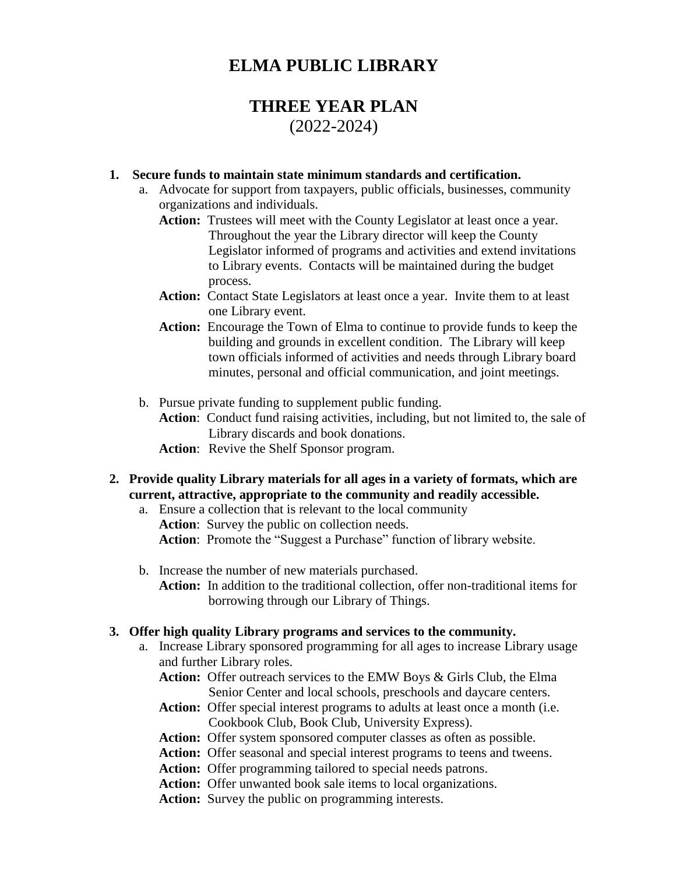# **ELMA PUBLIC LIBRARY**

# **THREE YEAR PLAN** (2022-2024)

### **1. Secure funds to maintain state minimum standards and certification.**

- a. Advocate for support from taxpayers, public officials, businesses, community organizations and individuals.
	- **Action:** Trustees will meet with the County Legislator at least once a year. Throughout the year the Library director will keep the County Legislator informed of programs and activities and extend invitations to Library events. Contacts will be maintained during the budget process.
	- **Action:** Contact State Legislators at least once a year. Invite them to at least one Library event.
	- **Action:** Encourage the Town of Elma to continue to provide funds to keep the building and grounds in excellent condition. The Library will keep town officials informed of activities and needs through Library board minutes, personal and official communication, and joint meetings.
- b. Pursue private funding to supplement public funding.
	- **Action**: Conduct fund raising activities, including, but not limited to, the sale of Library discards and book donations.
	- **Action**: Revive the Shelf Sponsor program.
- **2. Provide quality Library materials for all ages in a variety of formats, which are current, attractive, appropriate to the community and readily accessible.**
	- a. Ensure a collection that is relevant to the local community **Action**: Survey the public on collection needs. **Action**: Promote the "Suggest a Purchase" function of library website.
	- b. Increase the number of new materials purchased.
		- **Action:** In addition to the traditional collection, offer non-traditional items for borrowing through our Library of Things.

#### **3. Offer high quality Library programs and services to the community.**

- a. Increase Library sponsored programming for all ages to increase Library usage and further Library roles.
	- **Action:** Offer outreach services to the EMW Boys & Girls Club, the Elma Senior Center and local schools, preschools and daycare centers.
	- **Action:** Offer special interest programs to adults at least once a month (i.e. Cookbook Club, Book Club, University Express).
	- **Action:** Offer system sponsored computer classes as often as possible.
	- Action: Offer seasonal and special interest programs to teens and tweens.
	- **Action:** Offer programming tailored to special needs patrons.
	- **Action:** Offer unwanted book sale items to local organizations.
	- Action: Survey the public on programming interests.